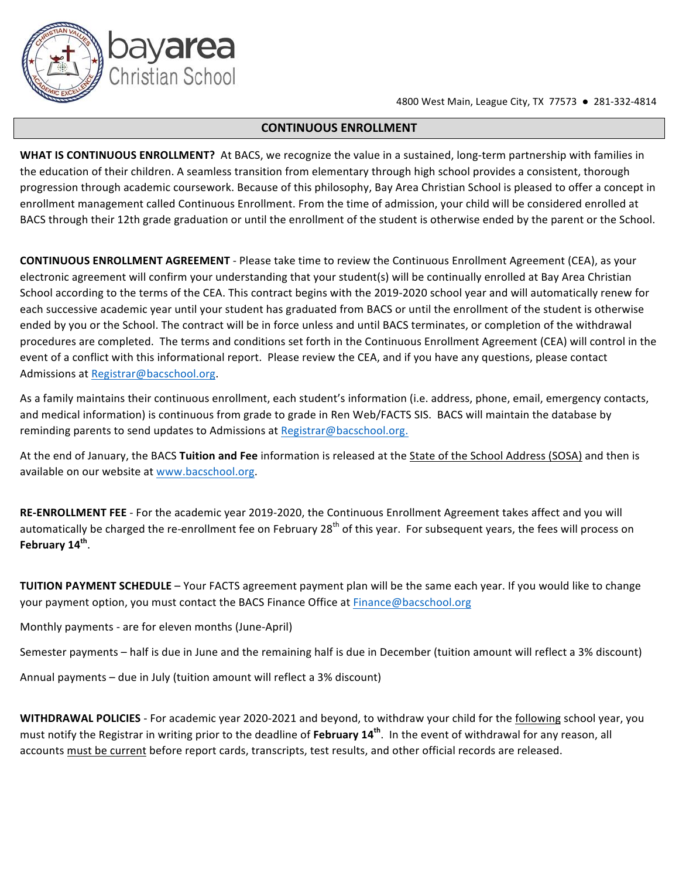**4800** West Main, League City, TX 77573 ● 281-332-4814

#### **CONTINUOUS ENROLLMENT**

**WHAT IS CONTINUOUS ENROLLMENT?** At BACS, we recognize the value in a sustained, long-term partnership with families in the education of their children. A seamless transition from elementary through high school provides a consistent, thorough progression through academic coursework. Because of this philosophy, Bay Area Christian School is pleased to offer a concept in enrollment management called Continuous Enrollment. From the time of admission, your child will be considered enrolled at BACS through their 12th grade graduation or until the enrollment of the student is otherwise ended by the parent or the School.

**CONTINUOUS ENROLLMENT AGREEMENT** - Please take time to review the Continuous Enrollment Agreement (CEA), as your electronic agreement will confirm your understanding that your student(s) will be continually enrolled at Bay Area Christian School according to the terms of the CEA. This contract begins with the 2019-2020 school year and will automatically renew for each successive academic year until your student has graduated from BACS or until the enrollment of the student is otherwise ended by you or the School. The contract will be in force unless and until BACS terminates, or completion of the withdrawal procedures are completed. The terms and conditions set forth in the Continuous Enrollment Agreement (CEA) will control in the event of a conflict with this informational report. Please review the CEA, and if you have any questions, please contact Admissions at Registrar@bacschool.org.

As a family maintains their continuous enrollment, each student's information (i.e. address, phone, email, emergency contacts, and medical information) is continuous from grade to grade in Ren Web/FACTS SIS. BACS will maintain the database by reminding parents to send updates to Admissions at Registrar@bacschool.org.

At the end of January, the BACS Tuition and Fee information is released at the State of the School Address (SOSA) and then is available on our website at www.bacschool.org.

RE-ENROLLMENT FEE - For the academic year 2019-2020, the Continuous Enrollment Agreement takes affect and you will automatically be charged the re-enrollment fee on February 28<sup>th</sup> of this year. For subsequent years, the fees will process on **February 14th**.

**TUITION PAYMENT SCHEDULE** – Your FACTS agreement payment plan will be the same each year. If you would like to change your payment option, you must contact the BACS Finance Office at Finance@bacschool.org

Monthly payments - are for eleven months (June-April)

Semester payments - half is due in June and the remaining half is due in December (tuition amount will reflect a 3% discount)

Annual payments - due in July (tuition amount will reflect a 3% discount)

**WITHDRAWAL POLICIES** - For academic year 2020-2021 and beyond, to withdraw your child for the following school year, you must notify the Registrar in writing prior to the deadline of **February 14<sup>th</sup>**. In the event of withdrawal for any reason, all accounts must be current before report cards, transcripts, test results, and other official records are released.

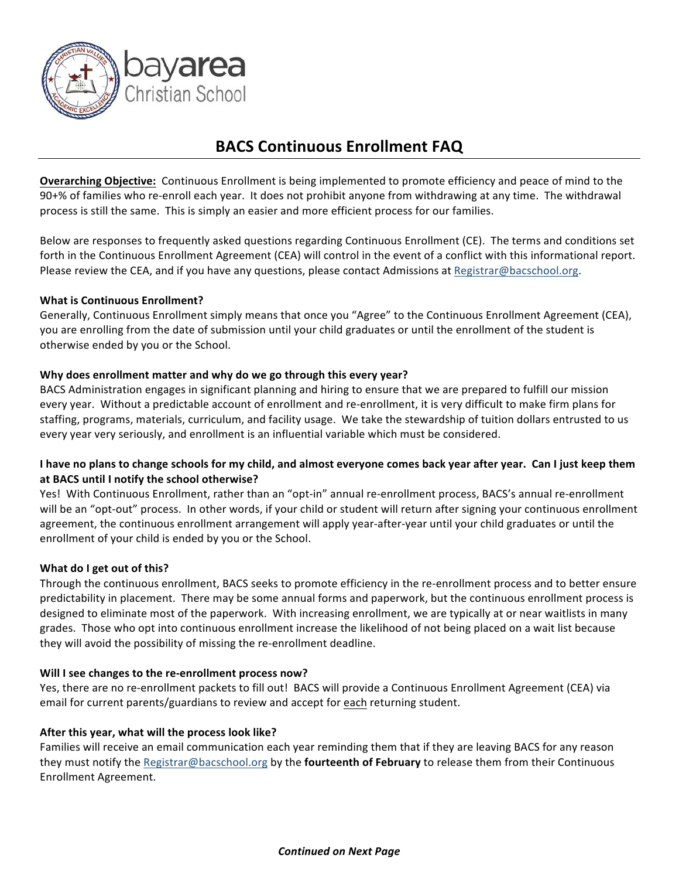

## **BACS Continuous Enrollment FAQ**

**Overarching Objective:** Continuous Enrollment is being implemented to promote efficiency and peace of mind to the 90+% of families who re-enroll each year. It does not prohibit anyone from withdrawing at any time. The withdrawal process is still the same. This is simply an easier and more efficient process for our families.

Below are responses to frequently asked questions regarding Continuous Enrollment (CE). The terms and conditions set forth in the Continuous Enrollment Agreement (CEA) will control in the event of a conflict with this informational report. Please review the CEA, and if you have any questions, please contact Admissions at Registrar@bacschool.org.

## **What is Continuous Enrollment?**

Generally, Continuous Enrollment simply means that once you "Agree" to the Continuous Enrollment Agreement (CEA), you are enrolling from the date of submission until your child graduates or until the enrollment of the student is otherwise ended by you or the School.

## **Why does enrollment matter and why do we go through this every year?**

BACS Administration engages in significant planning and hiring to ensure that we are prepared to fulfill our mission every year. Without a predictable account of enrollment and re-enrollment, it is very difficult to make firm plans for staffing, programs, materials, curriculum, and facility usage. We take the stewardship of tuition dollars entrusted to us every year very seriously, and enrollment is an influential variable which must be considered.

## I have no plans to change schools for my child, and almost everyone comes back year after year. Can I just keep them at BACS until I notify the school otherwise?

Yes! With Continuous Enrollment, rather than an "opt-in" annual re-enrollment process, BACS's annual re-enrollment will be an "opt-out" process. In other words, if your child or student will return after signing your continuous enrollment agreement, the continuous enrollment arrangement will apply year-after-year until your child graduates or until the enrollment of your child is ended by you or the School.

#### **What do I get out of this?**

Through the continuous enrollment, BACS seeks to promote efficiency in the re-enrollment process and to better ensure predictability in placement. There may be some annual forms and paperwork, but the continuous enrollment process is designed to eliminate most of the paperwork. With increasing enrollment, we are typically at or near waitlists in many grades. Those who opt into continuous enrollment increase the likelihood of not being placed on a wait list because they will avoid the possibility of missing the re-enrollment deadline.

#### **Will I see changes to the re-enrollment process now?**

Yes, there are no re-enrollment packets to fill out! BACS will provide a Continuous Enrollment Agreement (CEA) via email for current parents/guardians to review and accept for each returning student.

#### After this year, what will the process look like?

Families will receive an email communication each year reminding them that if they are leaving BACS for any reason they must notify the Registrar@bacschool.org by the **fourteenth of February** to release them from their Continuous Enrollment Agreement.